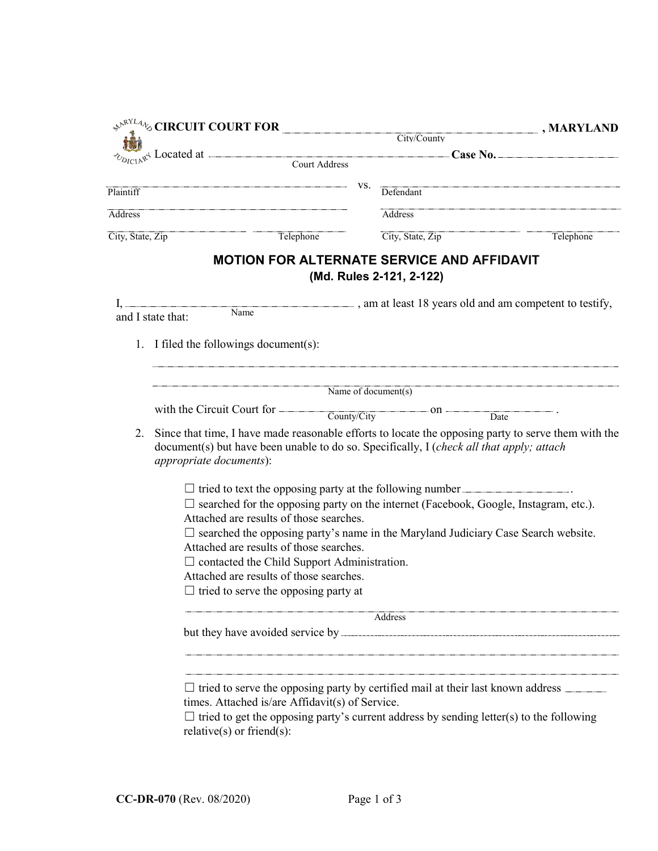|                  |                                                                                                                                                                                                                            | $\Leftrightarrow^{\mathcal{N}^{\text{RYL}}4}$ % CIRCUIT COURT FOR                             |     |                                                                                 | $\boxed{\blacksquare}$ , MARYLAND                                                              |  |  |
|------------------|----------------------------------------------------------------------------------------------------------------------------------------------------------------------------------------------------------------------------|-----------------------------------------------------------------------------------------------|-----|---------------------------------------------------------------------------------|------------------------------------------------------------------------------------------------|--|--|
|                  |                                                                                                                                                                                                                            |                                                                                               |     | City/County                                                                     |                                                                                                |  |  |
|                  |                                                                                                                                                                                                                            |                                                                                               |     |                                                                                 |                                                                                                |  |  |
| Plaintiff        |                                                                                                                                                                                                                            |                                                                                               | VS. | Defendant                                                                       |                                                                                                |  |  |
| Address          |                                                                                                                                                                                                                            |                                                                                               |     | Address                                                                         |                                                                                                |  |  |
| City, State, Zip |                                                                                                                                                                                                                            | Telephone                                                                                     |     | City, State, Zip                                                                | Telephone                                                                                      |  |  |
|                  |                                                                                                                                                                                                                            |                                                                                               |     |                                                                                 |                                                                                                |  |  |
|                  |                                                                                                                                                                                                                            |                                                                                               |     | <b>MOTION FOR ALTERNATE SERVICE AND AFFIDAVIT</b><br>(Md. Rules 2-121, 2-122)   |                                                                                                |  |  |
|                  |                                                                                                                                                                                                                            | $\overline{\text{Name}}$                                                                      |     |                                                                                 | am at least 18 years old and am competent to testify,                                          |  |  |
|                  | and I state that:                                                                                                                                                                                                          |                                                                                               |     |                                                                                 |                                                                                                |  |  |
|                  | 1. I filed the followings document(s):                                                                                                                                                                                     |                                                                                               |     |                                                                                 |                                                                                                |  |  |
|                  |                                                                                                                                                                                                                            |                                                                                               |     |                                                                                 |                                                                                                |  |  |
|                  |                                                                                                                                                                                                                            |                                                                                               |     | Name of document(s)                                                             |                                                                                                |  |  |
|                  |                                                                                                                                                                                                                            |                                                                                               |     | with the Circuit Court for $\frac{\text{Country/City}}{\text{Country/City}}$ on | Date                                                                                           |  |  |
| 2.               | Since that time, I have made reasonable efforts to locate the opposing party to serve them with the<br>document(s) but have been unable to do so. Specifically, I (check all that apply; attach<br>appropriate documents): |                                                                                               |     |                                                                                 |                                                                                                |  |  |
|                  | $\Box$ tried to text the opposing party at the following number                                                                                                                                                            |                                                                                               |     |                                                                                 |                                                                                                |  |  |
|                  | $\square$ searched for the opposing party on the internet (Facebook, Google, Instagram, etc.).<br>Attached are results of those searches.                                                                                  |                                                                                               |     |                                                                                 |                                                                                                |  |  |
|                  |                                                                                                                                                                                                                            |                                                                                               |     |                                                                                 | $\square$ searched the opposing party's name in the Maryland Judiciary Case Search website.    |  |  |
|                  |                                                                                                                                                                                                                            | Attached are results of those searches.<br>$\Box$ contacted the Child Support Administration. |     |                                                                                 |                                                                                                |  |  |
|                  |                                                                                                                                                                                                                            | Attached are results of those searches.                                                       |     |                                                                                 |                                                                                                |  |  |
|                  |                                                                                                                                                                                                                            | $\Box$ tried to serve the opposing party at                                                   |     |                                                                                 |                                                                                                |  |  |
|                  | Address                                                                                                                                                                                                                    |                                                                                               |     |                                                                                 |                                                                                                |  |  |
|                  |                                                                                                                                                                                                                            |                                                                                               |     |                                                                                 |                                                                                                |  |  |
|                  |                                                                                                                                                                                                                            |                                                                                               |     |                                                                                 |                                                                                                |  |  |
|                  | $\Box$ tried to serve the opposing party by certified mail at their last known address $\Box$<br>times. Attached is/are Affidavit(s) of Service.                                                                           |                                                                                               |     |                                                                                 |                                                                                                |  |  |
|                  |                                                                                                                                                                                                                            | $relative(s)$ or friend(s):                                                                   |     |                                                                                 | $\Box$ tried to get the opposing party's current address by sending letter(s) to the following |  |  |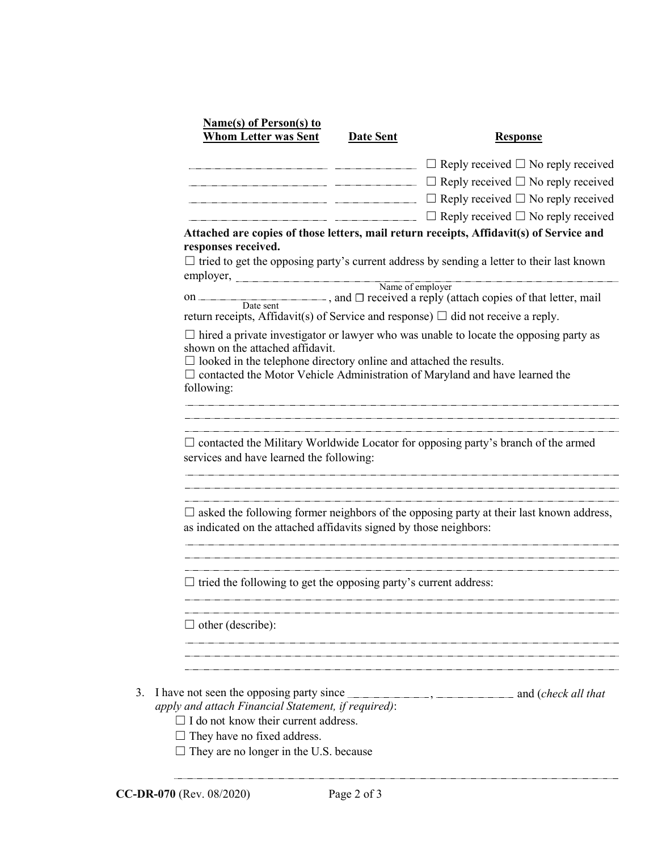|                                                                                                                             | <b>Date Sent</b> | <b>Response</b>                                                                                                                                                                    |
|-----------------------------------------------------------------------------------------------------------------------------|------------------|------------------------------------------------------------------------------------------------------------------------------------------------------------------------------------|
|                                                                                                                             |                  | $\Box$ Reply received $\Box$ No reply received                                                                                                                                     |
|                                                                                                                             |                  | $\Box$ Reply received $\Box$ No reply received                                                                                                                                     |
|                                                                                                                             |                  | $\Box$ Reply received $\Box$ No reply received                                                                                                                                     |
|                                                                                                                             |                  | $\Box$ Reply received $\Box$ No reply received                                                                                                                                     |
| responses received.                                                                                                         |                  | Attached are copies of those letters, mail return receipts, Affidavit(s) of Service and                                                                                            |
|                                                                                                                             |                  | $\Box$ tried to get the opposing party's current address by sending a letter to their last known                                                                                   |
| employer,                                                                                                                   |                  | Name of employer                                                                                                                                                                   |
|                                                                                                                             |                  | on $\overline{\phantom{a}}$ Date sent nature of that letter, mail $\overline{\phantom{a}}$ , and $\overline{\phantom{a}}$ received a reply (attach copies of that letter, mail     |
| return receipts, Affidavit(s) of Service and response) $\Box$ did not receive a reply.                                      |                  |                                                                                                                                                                                    |
| shown on the attached affidavit.<br>$\Box$ looked in the telephone directory online and attached the results.<br>following: |                  | $\Box$ hired a private investigator or lawyer who was unable to locate the opposing party as<br>$\Box$ contacted the Motor Vehicle Administration of Maryland and have learned the |
| services and have learned the following:                                                                                    |                  | $\Box$ contacted the Military Worldwide Locator for opposing party's branch of the armed                                                                                           |
| as indicated on the attached affidavits signed by those neighbors:                                                          |                  | $\Box$ asked the following former neighbors of the opposing party at their last known address,                                                                                     |
| $\Box$ tried the following to get the opposing party's current address:                                                     |                  |                                                                                                                                                                                    |
| $\Box$ other (describe):                                                                                                    |                  |                                                                                                                                                                                    |